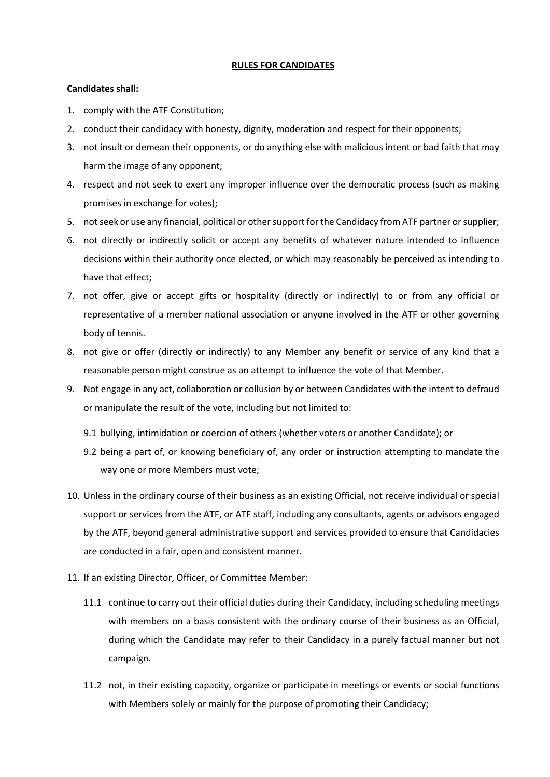## **RULES FOR CANDIDATES**

## **Candidates shall:**

- 1. comply with the ATF Constitution;
- 2. conduct their candidacy with honesty, dignity, moderation and respect for their opponents;
- 3. not insult or demean their opponents, or do anything else with malicious intent or bad faith that may harm the image of any opponent;
- 4. respect and not seek to exert any improper influence over the democratic process (such as making promises in exchange for votes);
- 5. not seek or use any financial, political or other support for the Candidacy from ATF partner or supplier;
- 6. not directly or indirectly solicit or accept any benefits of whatever nature intended to influence decisions within their authority once elected, or which may reasonably be perceived as intending to have that effect;
- 7. not offer, give or accept gifts or hospitality (directly or indirectly) to or from any official or representative of a member national association or anyone involved in the ATF or other governing body of tennis.
- 8. not give or offer (directly or indirectly) to any Member any benefit or service of any kind that a reasonable person might construe as an attempt to influence the vote of that Member.
- 9. Not engage in any act, collaboration or collusion by or between Candidates with the intent to defraud or manipulate the result of the vote, including but not limited to:
	- 9.1 bullying, intimidation or coercion of others (whether voters or another Candidate); or
	- 9.2 being a part of, or knowing beneficiary of, any order or instruction attempting to mandate the way one or more Members must vote;
- 10. Unless in the ordinary course of their business as an existing Official, not receive individual or special support or services from the ATF, or ATF staff, including any consultants, agents or advisors engaged by the ATF, beyond general administrative support and services provided to ensure that Candidacies are conducted in a fair, open and consistent manner.
- 11. If an existing Director, Officer, or Committee Member:
	- 11.1 continue to carry out their official duties during their Candidacy, including scheduling meetings with members on a basis consistent with the ordinary course of their business as an Official, during which the Candidate may refer to their Candidacy in a purely factual manner but not campaign.
	- 11.2 not, in their existing capacity, organize or participate in meetings or events or social functions with Members solely or mainly for the purpose of promoting their Candidacy;